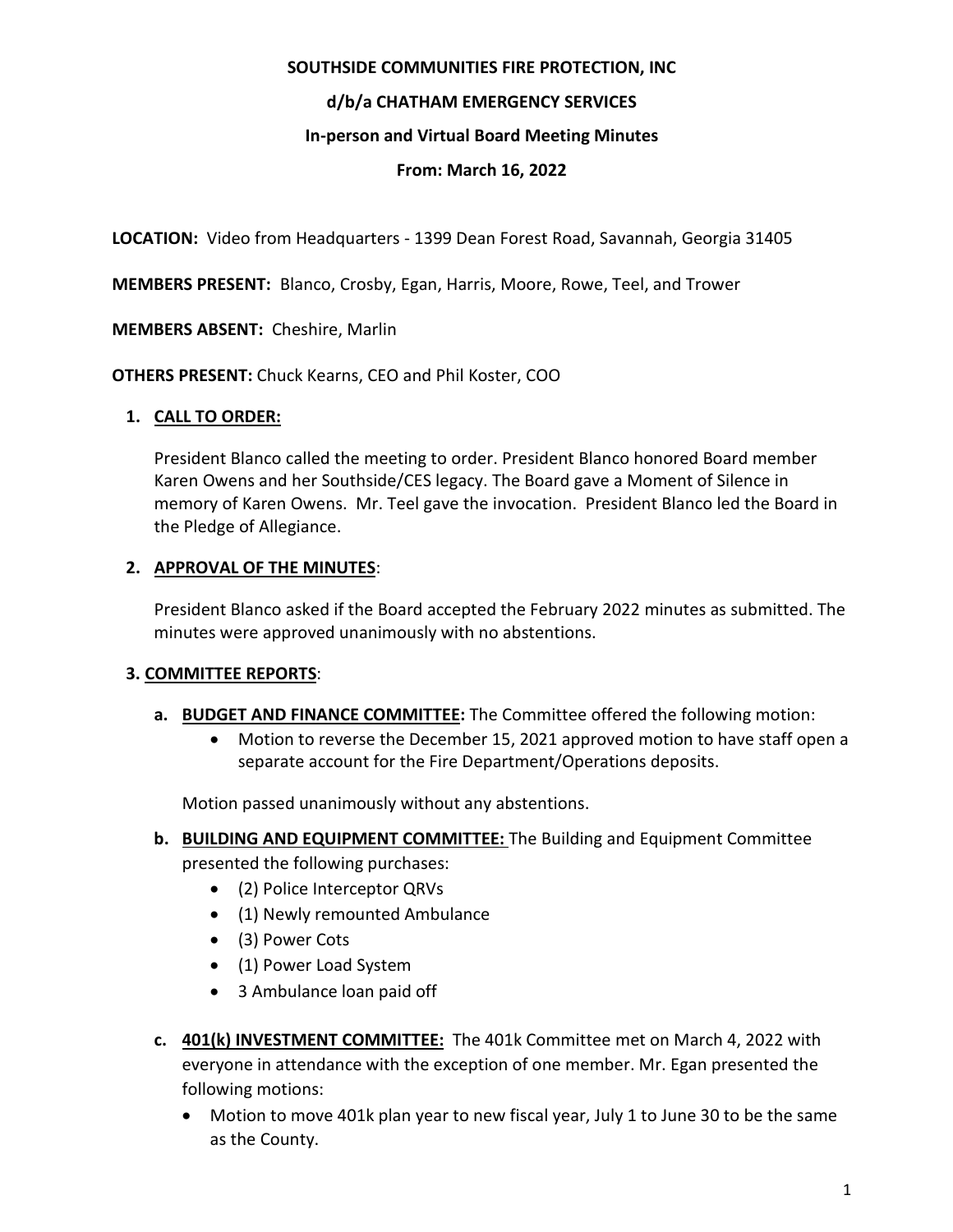### **SOUTHSIDE COMMUNITIES FIRE PROTECTION, INC**

# **d/b/a CHATHAM EMERGENCY SERVICES**

## **In-person and Virtual Board Meeting Minutes**

### **From: March 16, 2022**

**LOCATION:** Video from Headquarters - 1399 Dean Forest Road, Savannah, Georgia 31405

**MEMBERS PRESENT:** Blanco, Crosby, Egan, Harris, Moore, Rowe, Teel, and Trower

**MEMBERS ABSENT:** Cheshire, Marlin

**OTHERS PRESENT:** Chuck Kearns, CEO and Phil Koster, COO

## **1. CALL TO ORDER:**

President Blanco called the meeting to order. President Blanco honored Board member Karen Owens and her Southside/CES legacy. The Board gave a Moment of Silence in memory of Karen Owens. Mr. Teel gave the invocation. President Blanco led the Board in the Pledge of Allegiance.

## **2. APPROVAL OF THE MINUTES**:

President Blanco asked if the Board accepted the February 2022 minutes as submitted. The minutes were approved unanimously with no abstentions.

# **3. COMMITTEE REPORTS**:

#### **a. BUDGET AND FINANCE COMMITTEE:** The Committee offered the following motion:

• Motion to reverse the December 15, 2021 approved motion to have staff open a separate account for the Fire Department/Operations deposits.

Motion passed unanimously without any abstentions.

- **b. BUILDING AND EQUIPMENT COMMITTEE:** The Building and Equipment Committee presented the following purchases:
	- (2) Police Interceptor QRVs
	- (1) Newly remounted Ambulance
	- (3) Power Cots
	- (1) Power Load System
	- 3 Ambulance loan paid off
- **c. 401(k) INVESTMENT COMMITTEE:** The 401k Committee met on March 4, 2022 with everyone in attendance with the exception of one member. Mr. Egan presented the following motions:
	- Motion to move 401k plan year to new fiscal year, July 1 to June 30 to be the same as the County.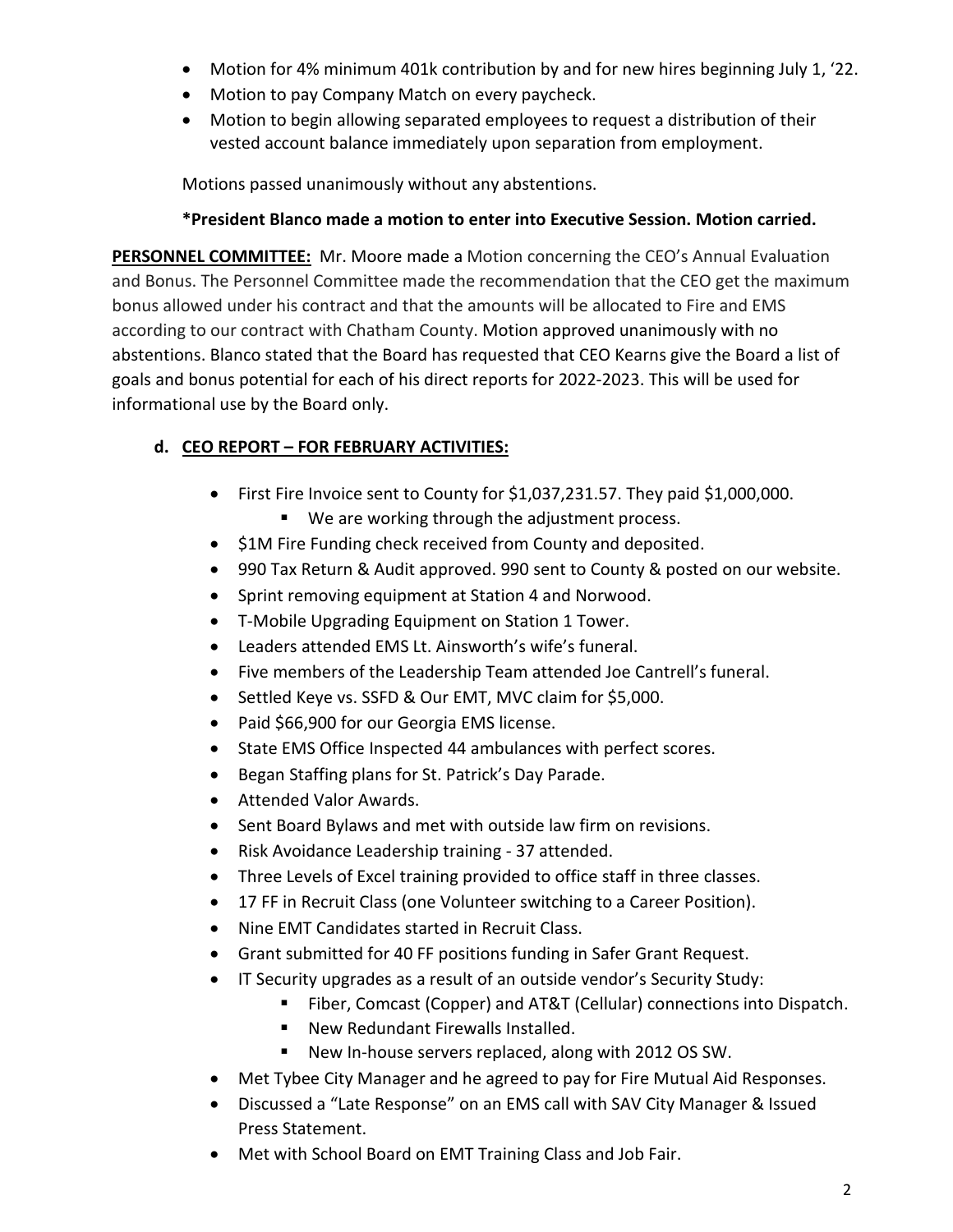- Motion for 4% minimum 401k contribution by and for new hires beginning July 1, '22.
- Motion to pay Company Match on every paycheck.
- Motion to begin allowing separated employees to request a distribution of their vested account balance immediately upon separation from employment.

Motions passed unanimously without any abstentions.

## **\*President Blanco made a motion to enter into Executive Session. Motion carried.**

**PERSONNEL COMMITTEE:** Mr. Moore made a Motion concerning the CEO's Annual Evaluation and Bonus. The Personnel Committee made the recommendation that the CEO get the maximum bonus allowed under his contract and that the amounts will be allocated to Fire and EMS according to our contract with Chatham County. Motion approved unanimously with no abstentions. Blanco stated that the Board has requested that CEO Kearns give the Board a list of goals and bonus potential for each of his direct reports for 2022-2023. This will be used for informational use by the Board only.

# **d. CEO REPORT – FOR FEBRUARY ACTIVITIES:**

- First Fire Invoice sent to County for \$1,037,231.57. They paid \$1,000,000.
	- We are working through the adjustment process.
- \$1M Fire Funding check received from County and deposited.
- 990 Tax Return & Audit approved. 990 sent to County & posted on our website.
- Sprint removing equipment at Station 4 and Norwood.
- T-Mobile Upgrading Equipment on Station 1 Tower.
- Leaders attended EMS Lt. Ainsworth's wife's funeral.
- Five members of the Leadership Team attended Joe Cantrell's funeral.
- Settled Keye vs. SSFD & Our EMT, MVC claim for \$5,000.
- Paid \$66,900 for our Georgia EMS license.
- State EMS Office Inspected 44 ambulances with perfect scores.
- Began Staffing plans for St. Patrick's Day Parade.
- Attended Valor Awards.
- Sent Board Bylaws and met with outside law firm on revisions.
- Risk Avoidance Leadership training 37 attended.
- Three Levels of Excel training provided to office staff in three classes.
- 17 FF in Recruit Class (one Volunteer switching to a Career Position).
- Nine EMT Candidates started in Recruit Class.
- Grant submitted for 40 FF positions funding in Safer Grant Request.
- IT Security upgrades as a result of an outside vendor's Security Study:
	- Fiber, Comcast (Copper) and AT&T (Cellular) connections into Dispatch.
	- New Redundant Firewalls Installed.
	- New In-house servers replaced, along with 2012 OS SW.
- Met Tybee City Manager and he agreed to pay for Fire Mutual Aid Responses.
- Discussed a "Late Response" on an EMS call with SAV City Manager & Issued Press Statement.
- Met with School Board on EMT Training Class and Job Fair.